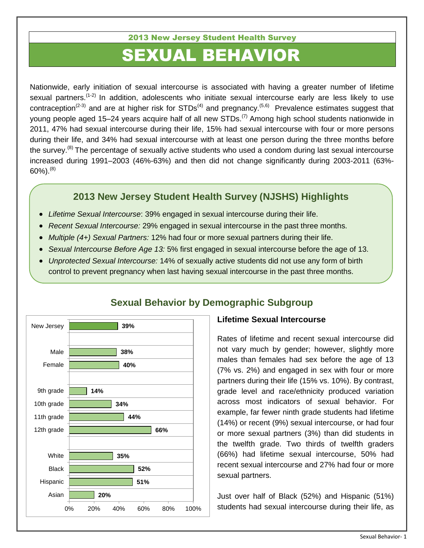#### 2013 New Jersey Student Health Survey

# SEXUAL BEHAVIOR

Nationwide, early initiation of sexual intercourse is associated with having a greater number of lifetime sexual partners.<sup>(1-2)</sup> In addition, adolescents who initiate sexual intercourse early are less likely to use contraception<sup>(2-3)</sup> and are at higher risk for STDs<sup>(4)</sup> and pregnancy.<sup>(5,6)</sup> Prevalence estimates suggest that young people aged 15–24 years acquire half of all new STDs.<sup>(7)</sup> Among high school students nationwide in 2011, 47% had sexual intercourse during their life, 15% had sexual intercourse with four or more persons during their life, and 34% had sexual intercourse with at least one person during the three months before the survey.<sup>(8)</sup> The percentage of sexually active students who used a condom during last sexual intercourse increased during 1991–2003 (46%-63%) and then did not change significantly during 2003-2011 (63%-  $60\%$ ).  $(8)$ 

#### **2013 New Jersey Student Health Survey (NJSHS) Highlights**

- *Lifetime Sexual Intercourse*: 39% engaged in sexual intercourse during their life.
- *Recent Sexual Intercourse:* 29% engaged in sexual intercourse in the past three months.
- *Multiple (4+) Sexual Partners:* 12% had four or more sexual partners during their life.
- *Sexual Intercourse Before Age 13:* 5% first engaged in sexual intercourse before the age of 13.
- *Unprotected Sexual Intercourse:* 14% of sexually active students did not use any form of birth control to prevent pregnancy when last having sexual intercourse in the past three months.



### **Sexual Behavior by Demographic Subgroup**

#### **Lifetime Sexual Intercourse**

Rates of lifetime and recent sexual intercourse did not vary much by gender; however, slightly more males than females had sex before the age of 13 (7% vs. 2%) and engaged in sex with four or more partners during their life (15% vs. 10%). By contrast, grade level and race/ethnicity produced variation across most indicators of sexual behavior. For example, far fewer ninth grade students had lifetime (14%) or recent (9%) sexual intercourse, or had four or more sexual partners (3%) than did students in the twelfth grade. Two thirds of twelfth graders (66%) had lifetime sexual intercourse, 50% had recent sexual intercourse and 27% had four or more sexual partners.

Just over half of Black (52%) and Hispanic (51%) students had sexual intercourse during their life, as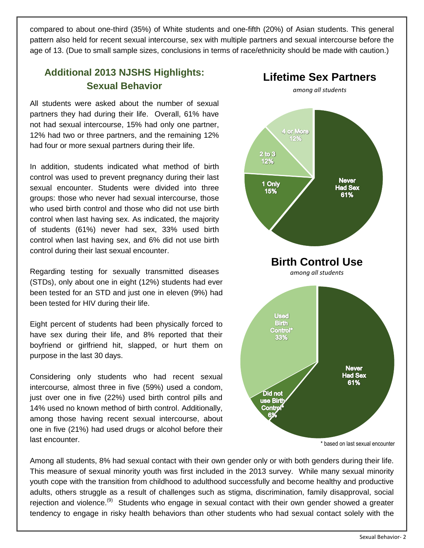compared to about one-third (35%) of White students and one-fifth (20%) of Asian students. This general pattern also held for recent sexual intercourse, sex with multiple partners and sexual intercourse before the age of 13. (Due to small sample sizes, conclusions in terms of race/ethnicity should be made with caution.)

## **Additional 2013 NJSHS Highlights: Sexual Behavior**

All students were asked about the number of sexual partners they had during their life. Overall, 61% have not had sexual intercourse, 15% had only one partner, 12% had two or three partners, and the remaining 12% had four or more sexual partners during their life.

In addition, students indicated what method of birth control was used to prevent pregnancy during their last sexual encounter. Students were divided into three groups: those who never had sexual intercourse, those who used birth control and those who did not use birth control when last having sex. As indicated, the majority of students (61%) never had sex, 33% used birth control when last having sex, and 6% did not use birth control during their last sexual encounter.

Regarding testing for sexually transmitted diseases (STDs), only about one in eight (12%) students had ever been tested for an STD and just one in eleven (9%) had been tested for HIV during their life.

Eight percent of students had been physically forced to have sex during their life, and 8% reported that their boyfriend or girlfriend hit, slapped, or hurt them on purpose in the last 30 days.

Considering only students who had recent sexual intercourse*,* almost three in five (59%) used a condom, just over one in five (22%) used birth control pills and 14% used no known method of birth control. Additionally, among those having recent sexual intercourse, about one in five (21%) had used drugs or alcohol before their last encounter.



Among all students, 8% had sexual contact with their own gender only or with both genders during their life. This measure of sexual minority youth was first included in the 2013 survey. While many sexual minority youth cope with the transition from childhood to adulthood successfully and become healthy and productive adults, others struggle as a result of challenges such as stigma, discrimination, family disapproval, social rejection and violence.<sup>(9)</sup> Students who engage in sexual contact with their own gender showed a greater tendency to engage in risky health behaviors than other students who had sexual contact solely with the